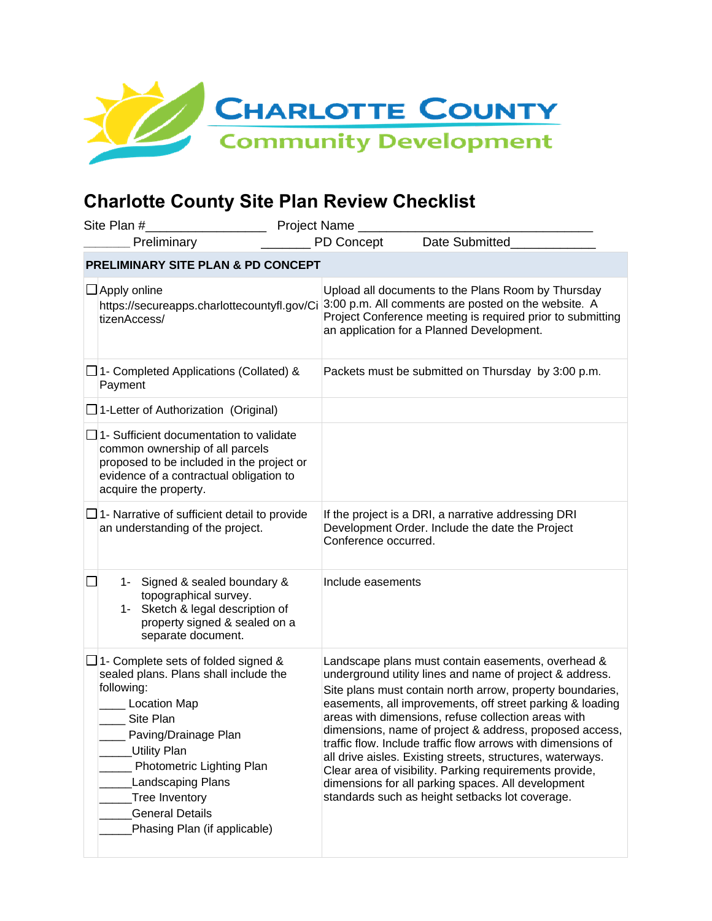

## **Charlotte County Site Plan Review Checklist**

| Site Plan #<br>Project Name                   |                                                                                                                                                                                                                                                                                                                           |                                                                                                                                                                                                                      |                                                                                                                                                                                                                                                                                                                                                                                                                                                                                                                                                                                                                                                              |  |
|-----------------------------------------------|---------------------------------------------------------------------------------------------------------------------------------------------------------------------------------------------------------------------------------------------------------------------------------------------------------------------------|----------------------------------------------------------------------------------------------------------------------------------------------------------------------------------------------------------------------|--------------------------------------------------------------------------------------------------------------------------------------------------------------------------------------------------------------------------------------------------------------------------------------------------------------------------------------------------------------------------------------------------------------------------------------------------------------------------------------------------------------------------------------------------------------------------------------------------------------------------------------------------------------|--|
|                                               | Preliminary                                                                                                                                                                                                                                                                                                               | <b>PD Concept</b>                                                                                                                                                                                                    | Date Submitted                                                                                                                                                                                                                                                                                                                                                                                                                                                                                                                                                                                                                                               |  |
| <b>PRELIMINARY SITE PLAN &amp; PD CONCEPT</b> |                                                                                                                                                                                                                                                                                                                           |                                                                                                                                                                                                                      |                                                                                                                                                                                                                                                                                                                                                                                                                                                                                                                                                                                                                                                              |  |
|                                               | $\Box$ Apply online<br>https://secureapps.charlottecountyfl.gov/Ci<br>tizenAccess/                                                                                                                                                                                                                                        | Upload all documents to the Plans Room by Thursday<br>3:00 p.m. All comments are posted on the website. A<br>Project Conference meeting is required prior to submitting<br>an application for a Planned Development. |                                                                                                                                                                                                                                                                                                                                                                                                                                                                                                                                                                                                                                                              |  |
|                                               | $\Box$ 1- Completed Applications (Collated) &<br>Payment                                                                                                                                                                                                                                                                  |                                                                                                                                                                                                                      | Packets must be submitted on Thursday by 3:00 p.m.                                                                                                                                                                                                                                                                                                                                                                                                                                                                                                                                                                                                           |  |
|                                               | $\Box$ 1-Letter of Authorization (Original)                                                                                                                                                                                                                                                                               |                                                                                                                                                                                                                      |                                                                                                                                                                                                                                                                                                                                                                                                                                                                                                                                                                                                                                                              |  |
|                                               | $\Box$ 1- Sufficient documentation to validate<br>common ownership of all parcels<br>proposed to be included in the project or<br>evidence of a contractual obligation to<br>acquire the property.                                                                                                                        |                                                                                                                                                                                                                      |                                                                                                                                                                                                                                                                                                                                                                                                                                                                                                                                                                                                                                                              |  |
|                                               | $\Box$ 1- Narrative of sufficient detail to provide<br>an understanding of the project.                                                                                                                                                                                                                                   | Conference occurred.                                                                                                                                                                                                 | If the project is a DRI, a narrative addressing DRI<br>Development Order. Include the date the Project                                                                                                                                                                                                                                                                                                                                                                                                                                                                                                                                                       |  |
|                                               | 1- Signed & sealed boundary &<br>topographical survey.<br>1- Sketch & legal description of<br>property signed & sealed on a<br>separate document.                                                                                                                                                                         | Include easements                                                                                                                                                                                                    |                                                                                                                                                                                                                                                                                                                                                                                                                                                                                                                                                                                                                                                              |  |
|                                               | $\Box$ 1- Complete sets of folded signed &<br>sealed plans. Plans shall include the<br>following:<br><b>Location Map</b><br>Site Plan<br>Paving/Drainage Plan<br><b>Utility Plan</b><br>Photometric Lighting Plan<br><b>Landscaping Plans</b><br>Tree Inventory<br><b>General Details</b><br>Phasing Plan (if applicable) |                                                                                                                                                                                                                      | Landscape plans must contain easements, overhead &<br>underground utility lines and name of project & address.<br>Site plans must contain north arrow, property boundaries,<br>easements, all improvements, off street parking & loading<br>areas with dimensions, refuse collection areas with<br>dimensions, name of project & address, proposed access,<br>traffic flow. Include traffic flow arrows with dimensions of<br>all drive aisles. Existing streets, structures, waterways.<br>Clear area of visibility. Parking requirements provide,<br>dimensions for all parking spaces. All development<br>standards such as height setbacks lot coverage. |  |